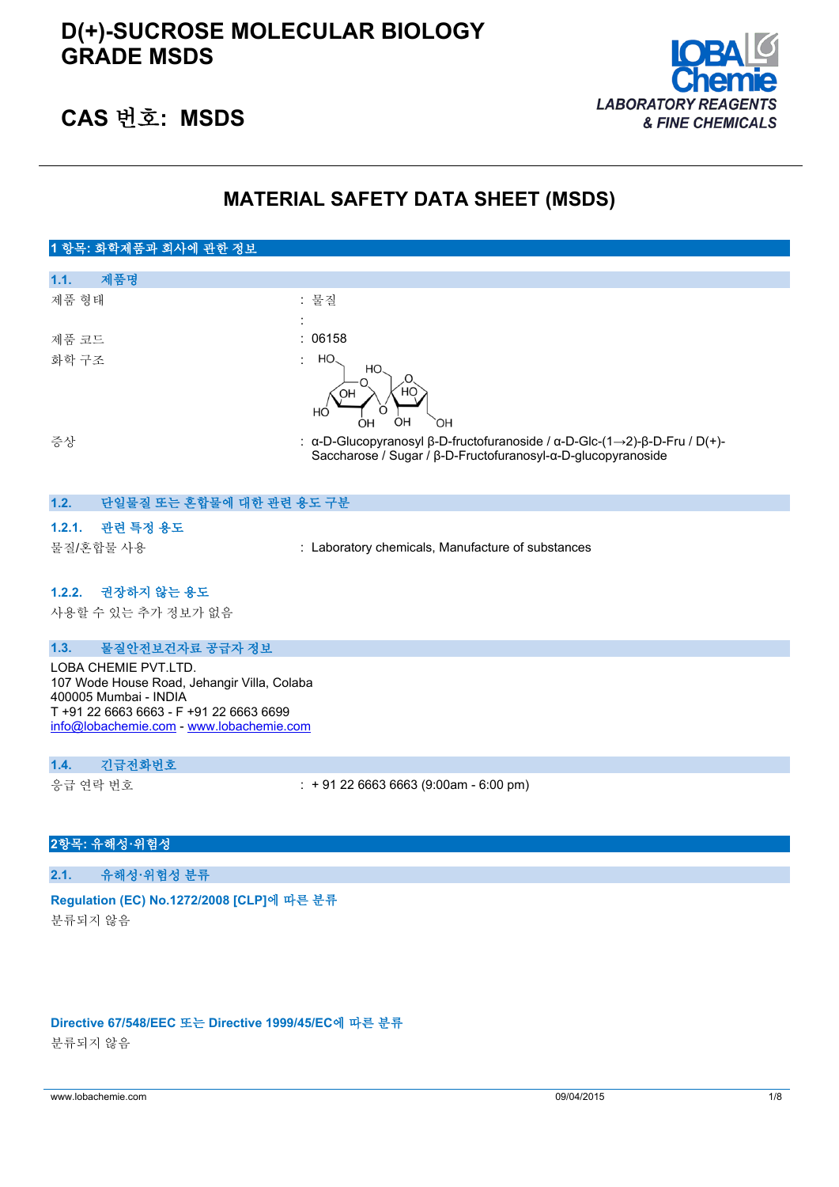

# **CAS 번호: MSDS**

# **MATERIAL SAFETY DATA SHEET (MSDS)**

#### **1 항목: 화학제품과 회사에 관한 정보 1.1. 제품명** 제품 형태 : 기대 : 기대 : 물질 : 제품 코드 : 06158 화학 구조 HO HO. OH HÓ ÒН ÒН ОH 증상 : α-D-Glucopyranosyl β-D-fructofuranoside / α-D-Glc-(1→2)-β-D-Fru / D(+)- Saccharose / Sugar / β-D-Fructofuranosyl-α-D-glucopyranoside

### **1.2. 단일물질 또는 혼합물에 대한 관련 용도 구분**

### **1.2.1. 관련 특정 용도**

물질/혼합물 사용 : Laboratory chemicals, Manufacture of substances

#### **1.2.2. 권장하지 않는 용도**

사용할 수 있는 추가 정보가 없음

#### **1.3. 물질안전보건자료 공급자 정보**

LOBA CHEMIE PVT.LTD. 107 Wode House Road, Jehangir Villa, Colaba 400005 Mumbai - INDIA T +91 22 6663 6663 - F +91 22 6663 6699 [info@lobachemie.com](mailto:info@lobachemie.com) - <www.lobachemie.com>

#### **1.4. 긴급전화번호**

응급 연락 번호 : + 91 22 6663 6663 (9:00am - 6:00 pm)

### **2항목: 유해성·위험성**

**2.1. 유해성·위험성 분류**

#### **Regulation (EC) No.1272/2008 [CLP]에 따른 분류**

분류되지 않음

#### **Directive 67/548/EEC 또는 Directive 1999/45/EC에 따른 분류**

분류되지 않음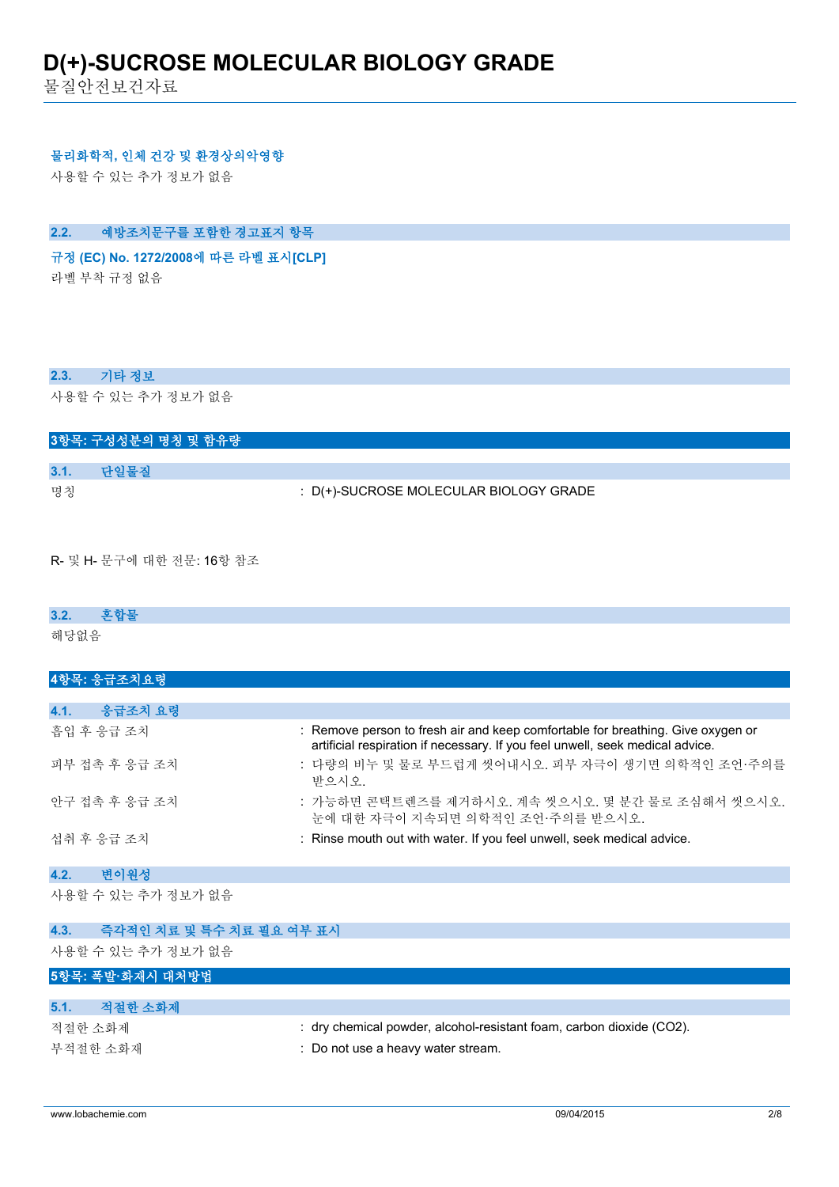물질안전보건자료

### **물리화학적, 인체 건강 및 환경상의악영향**

사용할 수 있는 추가 정보가 없음

## **2.2. 예방조치문구를 포함한 경고표지 항목**

# **규정 (EC) No. 1272/2008에 따른 라벨 표시[CLP] Extra labelling to displayExtra classification(s) to display**

라벨 부착 규정 없음

#### **2.3. 기타 정보**

사용할 수 있는 추가 정보가 없음

|      |      | 3항목: 구성성분의 명칭 및 함유량 |                                        |  |
|------|------|---------------------|----------------------------------------|--|
|      |      |                     |                                        |  |
| 3.1. | 다일물질 |                     |                                        |  |
| 명칭   |      |                     | : D(+)-SUCROSE MOLECULAR BIOLOGY GRADE |  |

R- 및 H- 문구에 대한 전문: 16항 참조

# **3.2. 혼합물**

해당없음

| 4항목: 응급조치요령        |                                                                                                                                                                  |
|--------------------|------------------------------------------------------------------------------------------------------------------------------------------------------------------|
|                    |                                                                                                                                                                  |
| 4.1.<br>응급조치 요령    |                                                                                                                                                                  |
| 흡입 후 응급 조치         | : Remove person to fresh air and keep comfortable for breathing. Give oxygen or<br>artificial respiration if necessary. If you feel unwell, seek medical advice. |
| 피부 접촉 후 응급 조치      | : 다량의 비누 및 물로 부드럽게 씻어내시오. 피부 자극이 생기면 의학적인 조언·주의를<br>받으시오                                                                                                         |
| 안구 접촉 후 응급 조치      | : 가능하면 콘택트렌즈를 제거하시오. 계속 씻으시오. 몇 분간 물로 조심해서 씻으시오.<br>눈에 대한 자극이 지속되면 의학적인 조언·주의를 받으시오.                                                                             |
| 섭취 후 응급 조치         | : Rinse mouth out with water. If you feel unwell, seek medical advice.                                                                                           |
| 변이원성<br>4.2.       |                                                                                                                                                                  |
| 사용할 수 있는 추가 정보가 없음 |                                                                                                                                                                  |

**4.3. 즉각적인 치료 및 특수 치료 필요 여부 표시** 사용할 수 있는 추가 정보가 없음 **5항목: 폭발·화재시 대처방법 5.1. 적절한 소화제** 적절한 소화제 : dry chemical powder, alcohol-resistant foam, carbon dioxide (CO2). 부적절한 소화재 : Do not use a heavy water stream.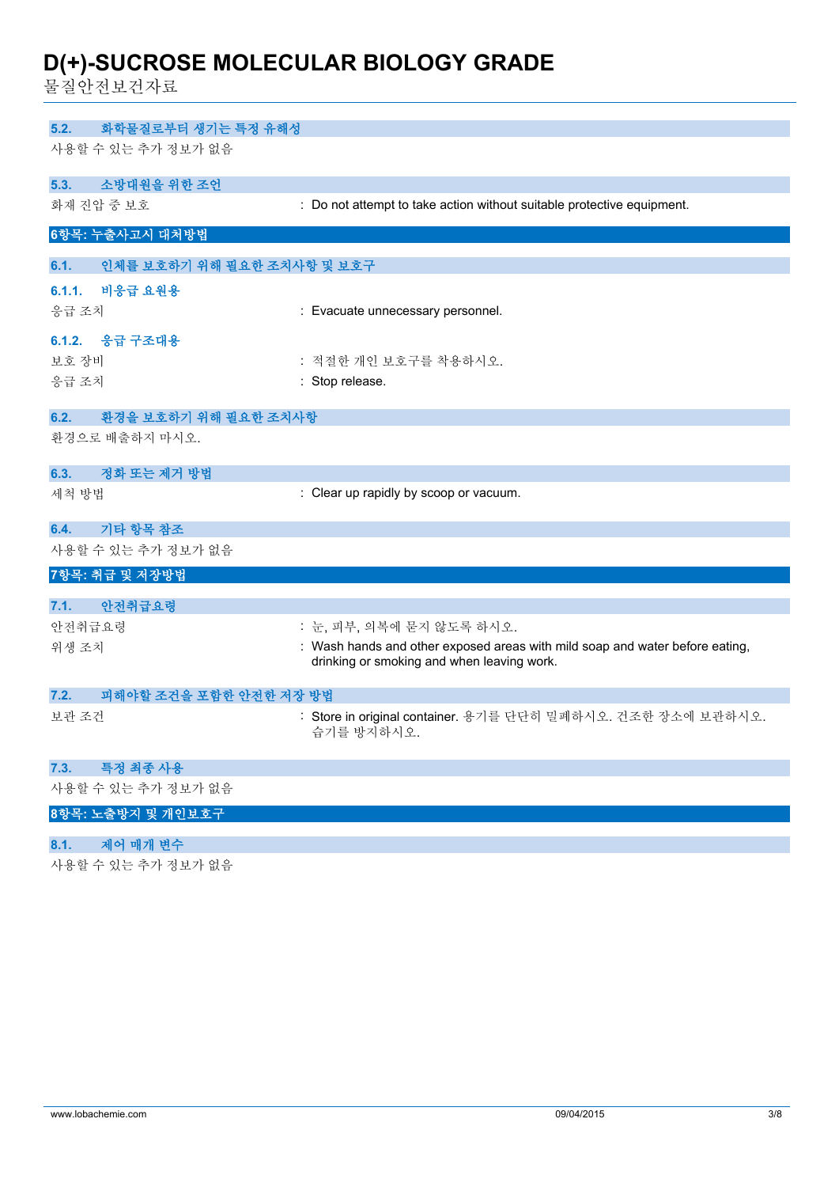물질안전보건자료

| 화학물질로부터 생기는 특정 유해성<br>5.2.         |                                                                                                                            |
|------------------------------------|----------------------------------------------------------------------------------------------------------------------------|
| 사용할 수 있는 추가 정보가 없음                 |                                                                                                                            |
| 소방대원을 위한 조언<br>5.3.                |                                                                                                                            |
| 화재 진압 중 보호                         | : Do not attempt to take action without suitable protective equipment.                                                     |
| 6항목: 누출사고시 대처방법                    |                                                                                                                            |
| 인체를 보호하기 위해 필요한 조치사항 및 보호구<br>6.1. |                                                                                                                            |
| 6.1.1.<br>비응급 요원용                  |                                                                                                                            |
| 응급 조치                              | : Evacuate unnecessary personnel.                                                                                          |
| 6.1.2. 응급 구조대용                     |                                                                                                                            |
| 보호 장비                              | : 적절한 개인 보호구를 착용하시오.                                                                                                       |
| 응급 조치                              | : Stop release.                                                                                                            |
| 환경을 보호하기 위해 필요한 조치사항<br>6.2.       |                                                                                                                            |
| 환경으로 배출하지 마시오.                     |                                                                                                                            |
| 정화 또는 제거 방법<br>6.3.                |                                                                                                                            |
| 세척 방법                              | : Clear up rapidly by scoop or vacuum.                                                                                     |
| 기타 항목 참조<br>6.4.                   |                                                                                                                            |
| 사용할 수 있는 추가 정보가 없음                 |                                                                                                                            |
| 7항목: 취급 및 저장방법                     |                                                                                                                            |
| 안전취급요령<br>7.1.                     |                                                                                                                            |
| 안전취급요령                             | : 눈, 피부, 의복에 묻지 않도록 하시오.                                                                                                   |
| 위생 조치                              | : Wash hands and other exposed areas with mild soap and water before eating,<br>drinking or smoking and when leaving work. |
| 피해야할 조건을 포함한 안전한 저장 방법<br>7.2.     |                                                                                                                            |
| 보관 조건                              | : Store in original container. 용기를 단단히 밀폐하시오. 건조한 장소에 보관하시오.<br>습기를 방지하시오.                                                 |
| 특정 최종 사용<br>7.3.                   |                                                                                                                            |
| 사용할 수 있는 추가 정보가 없음                 |                                                                                                                            |
| 8항목: 노출방지 및 개인보호구                  |                                                                                                                            |
| 제어 매개 변수<br>8.1.                   |                                                                                                                            |
| 사용할 수 있는 추가 정보가 없음                 |                                                                                                                            |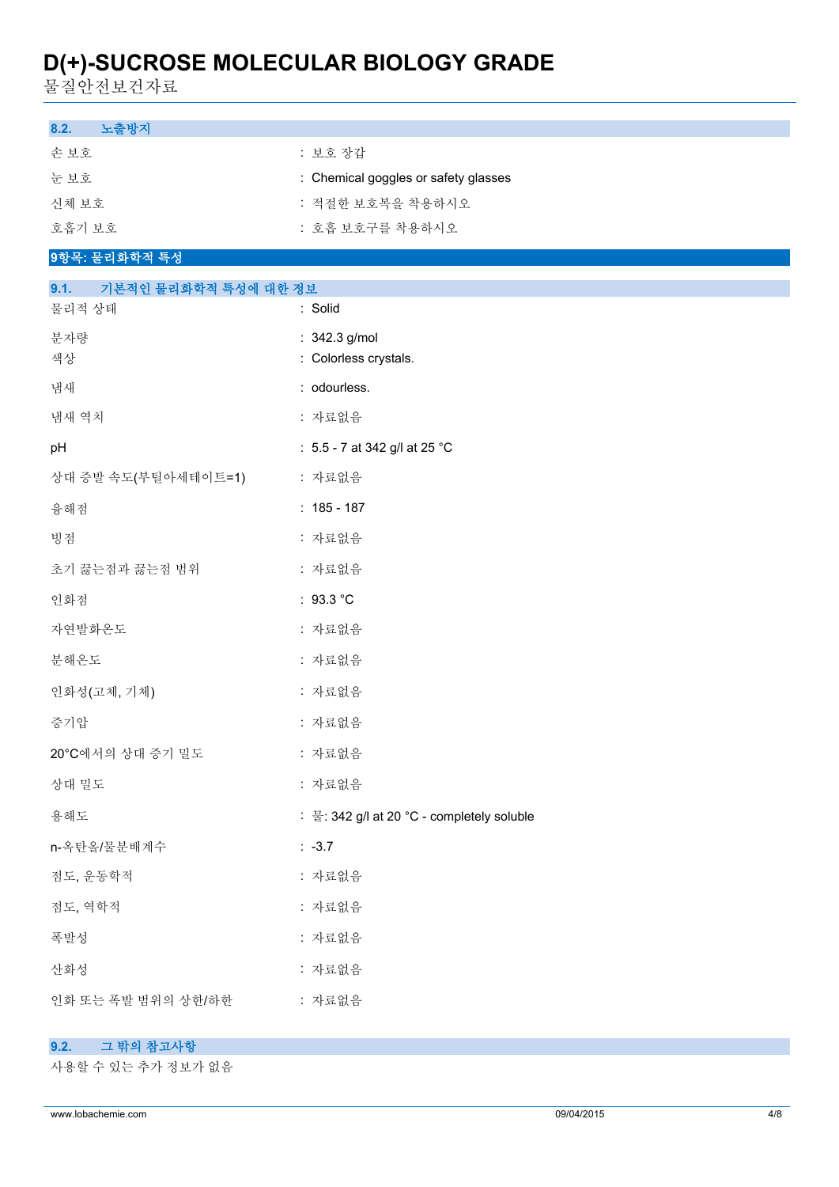물질안전보건자료

| 노출방지<br>8.2.                 |                                            |  |  |  |
|------------------------------|--------------------------------------------|--|--|--|
| 손보호                          | : 보호 장갑                                    |  |  |  |
| 눈보호                          | : Chemical goggles or safety glasses       |  |  |  |
| 신체 보호                        | : 적절한 보호복을 착용하시오                           |  |  |  |
| 호흡기 보호                       | : 호흡 보호구를 착용하시오                            |  |  |  |
| 9항목: 물리화학적 특성                |                                            |  |  |  |
| 9.1.<br>기본적인 물리화학적 특성에 대한 정보 |                                            |  |  |  |
| 물리적 상태                       | : Solid                                    |  |  |  |
| 분자량<br>색상                    | : 342.3 g/mol<br>: Colorless crystals.     |  |  |  |
| 냄새                           | : odourless.                               |  |  |  |
| 냄새 역치                        | : 자료없음                                     |  |  |  |
| pH                           | : 5.5 - 7 at 342 g/l at 25 °C              |  |  |  |
| 상대 증발 속도(부틸아세테이트=1)          | : 자료없음                                     |  |  |  |
| 융해점                          | $: 185 - 187$                              |  |  |  |
| 빙점                           | : 자료없음                                     |  |  |  |
| 초기 끓는점과 끓는점 범위               | : 자료없음                                     |  |  |  |
| 인화점                          | : $93.3 °C$                                |  |  |  |
| 자연발화온도                       | : 자료없음                                     |  |  |  |
| 분해온도                         | : 자료없음                                     |  |  |  |
| 인화성(고체, 기체)                  | : 자료없음                                     |  |  |  |
| 증기압                          | : 자료없음                                     |  |  |  |
| 20°C에서의 상대 증기 밀도             | : 자료없음                                     |  |  |  |
| 상대 밀도                        | : 자료없음                                     |  |  |  |
| 용해도                          | : 물: 342 g/l at 20 °C - completely soluble |  |  |  |
| n-옥탄올/물분배계수                  | $: -3.7$                                   |  |  |  |
| 점도, 운동학적                     | : 자료없음                                     |  |  |  |
| 점도, 역학적                      | : 자료없음                                     |  |  |  |
| 폭발성                          | : 자료없음                                     |  |  |  |
| 산화성                          | : 자료없음                                     |  |  |  |
| 인화 또는 폭발 범위의 상한/하한           | : 자료없음                                     |  |  |  |
|                              |                                            |  |  |  |

### **9.2. 그 밖의 참고사항**

사용할 수 있는 추가 정보가 없음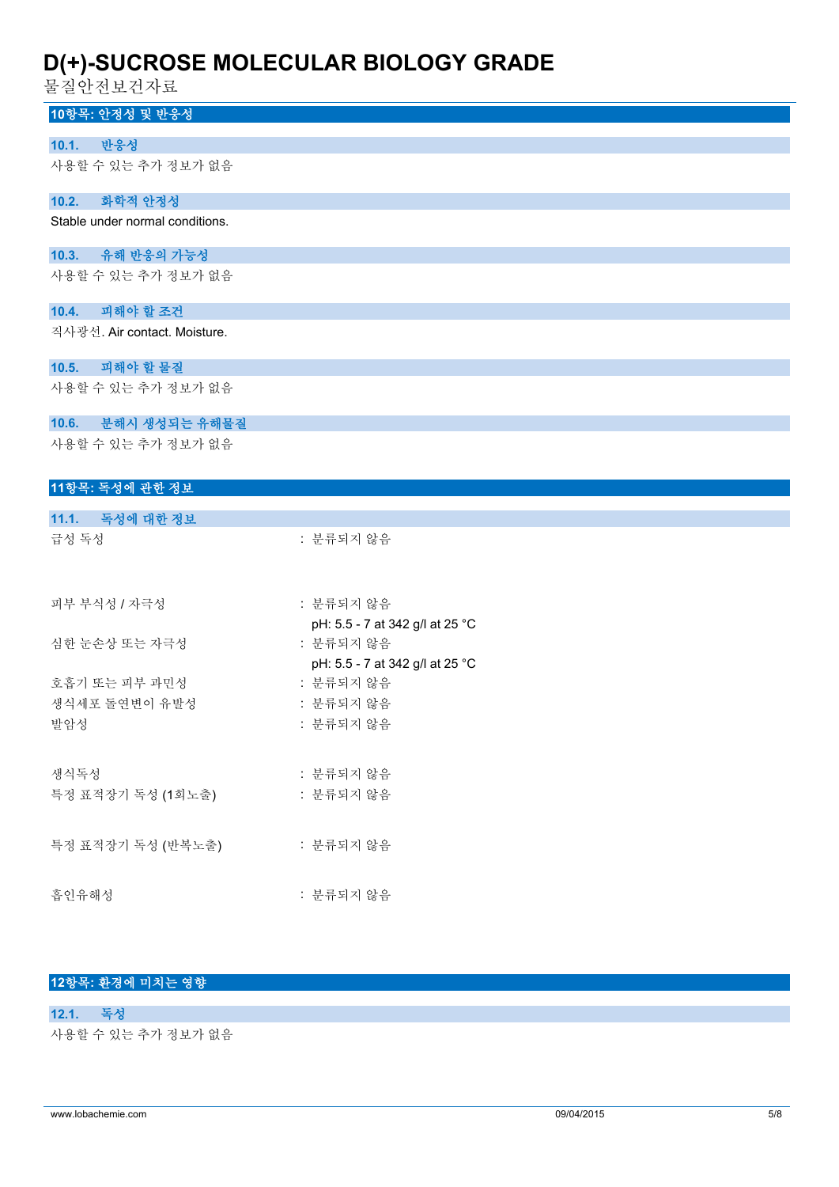물질안전보건자료

| 힘 열 단 안 모 산 삭 프                 |                                              |
|---------------------------------|----------------------------------------------|
| 10항목: 안정성 및 반응성                 |                                              |
| 반응성<br>10.1.                    |                                              |
| 사용할 수 있는 추가 정보가 없음              |                                              |
|                                 |                                              |
| 10.2. 화학적 안정성                   |                                              |
| Stable under normal conditions. |                                              |
| 10.3. 유해 반응의 가능성                |                                              |
| 사용할 수 있는 추가 정보가 없음              |                                              |
|                                 |                                              |
| 10.4. 피해야 할 조건                  |                                              |
| 직사광선. Air contact. Moisture.    |                                              |
| 10.5. 피해야 할 물질                  |                                              |
| 사용할 수 있는 추가 정보가 없음              |                                              |
|                                 |                                              |
| 10.6. 분해시 생성되는 유해물질             |                                              |
| 사용할 수 있는 추가 정보가 없음              |                                              |
|                                 |                                              |
| 11항목: 독성에 관한 정보                 |                                              |
| 11.1. 독성에 대한 정보                 |                                              |
| 급성 독성                           | : 분류되지 않음                                    |
|                                 |                                              |
|                                 |                                              |
| 피부 부식성 / 자극성                    | : 분류되지 않음                                    |
|                                 | pH: 5.5 - 7 at 342 g/l at 25 °C              |
| 심한 눈손상 또는 자극성                   | : 분류되지 않음<br>pH: 5.5 - 7 at 342 g/l at 25 °C |
| 호흡기 또는 피부 과민성                   | : 분류되지 않음                                    |
| 생식세포 돌연변이 유발성                   | : 분류되지 않음                                    |
| 발암성                             | : 분류되지 않음                                    |
|                                 |                                              |
| 생식독성                            | : 분류되지 않음                                    |
| 특정 표적장기 독성 (1회노출)               | : 분류되지 않음                                    |
|                                 |                                              |
| 특정 표적장기 독성 (반복노출)               | : 분류되지 않음                                    |
|                                 |                                              |
|                                 |                                              |

흡인유해성 : 분류되지 않음

# **12항목: 환경에 미치는 영향**

**12.1. 독성** 사용할 수 있는 추가 정보가 없음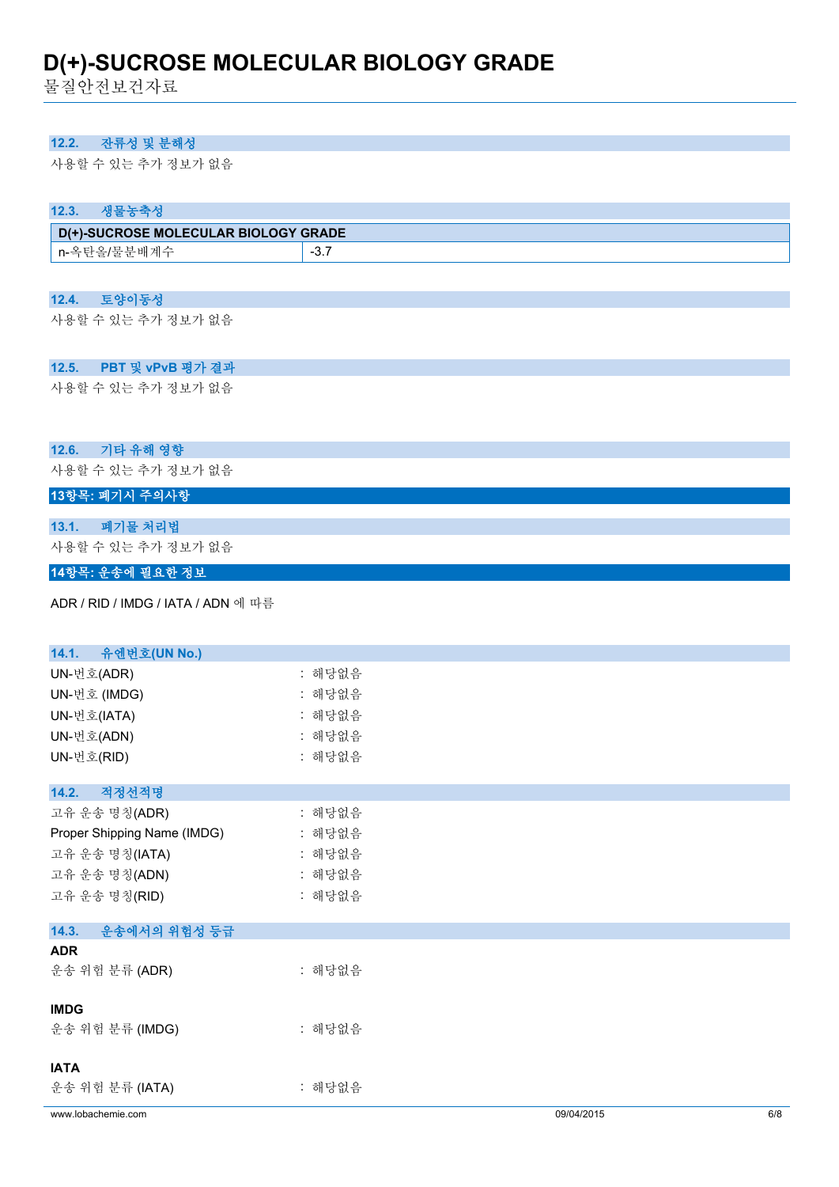물질안전보건자료

# **12.2. 잔류성 및 분해성**

사용할 수 있는 추가 정보가 없음

### **12.3. 생물농축성**

| D(+)-SUCROSE MOLECULAR BIOLOGY GRADE |    |  |
|--------------------------------------|----|--|
| ∙нH<br>n-녹<br>「吉/吉                   | -ಎ |  |

#### **12.4. 토양이동성**

사용할 수 있는 추가 정보가 없음

### **12.5. PBT 및 vPvB 평가 결과**

사용할 수 있는 추가 정보가 없음

### **12.6. 기타 유해 영향**

사용할 수 있는 추가 정보가 없음

# **13항목: 폐기시 주의사항**

### **13.1. 폐기물 처리법**

사용할 수 있는 추가 정보가 없음

### **14항목: 운송에 필요한 정보**

ADR / RID / IMDG / IATA / ADN 에 따름

| www.lobachemie.com          |        | 09/04/2015 | 6/8 |
|-----------------------------|--------|------------|-----|
| 운송 위험 분류 (IATA)             | : 해당없음 |            |     |
| <b>IATA</b>                 |        |            |     |
| 운송 위험 분류 (IMDG)             | : 해당없음 |            |     |
| <b>IMDG</b>                 |        |            |     |
| 운송 위험 분류 (ADR)              | : 해당없음 |            |     |
| <b>ADR</b>                  |        |            |     |
| 14.3.<br>운송에서의 위험성 등급       |        |            |     |
| 고유 운송 명칭(RID)               | : 해당없음 |            |     |
| 고유 운송 명칭(ADN)               | : 해당없음 |            |     |
| 고유 운송 명칭(IATA)              | : 해당없음 |            |     |
| Proper Shipping Name (IMDG) | : 해당없음 |            |     |
| 고유 운송 명칭(ADR)               | : 해당없음 |            |     |
| 적정선적명<br>14.2.              |        |            |     |
| UN-번호(RID)                  | : 해당없음 |            |     |
| UN-번호(ADN)                  | : 해당없음 |            |     |
| UN-번호(IATA)                 | : 해당없음 |            |     |
| UN-번호 (IMDG)                | : 해당없음 |            |     |
| UN-번호(ADR)                  | : 해당없음 |            |     |
| 14.1. 유엔번호(UN No.)          |        |            |     |
|                             |        |            |     |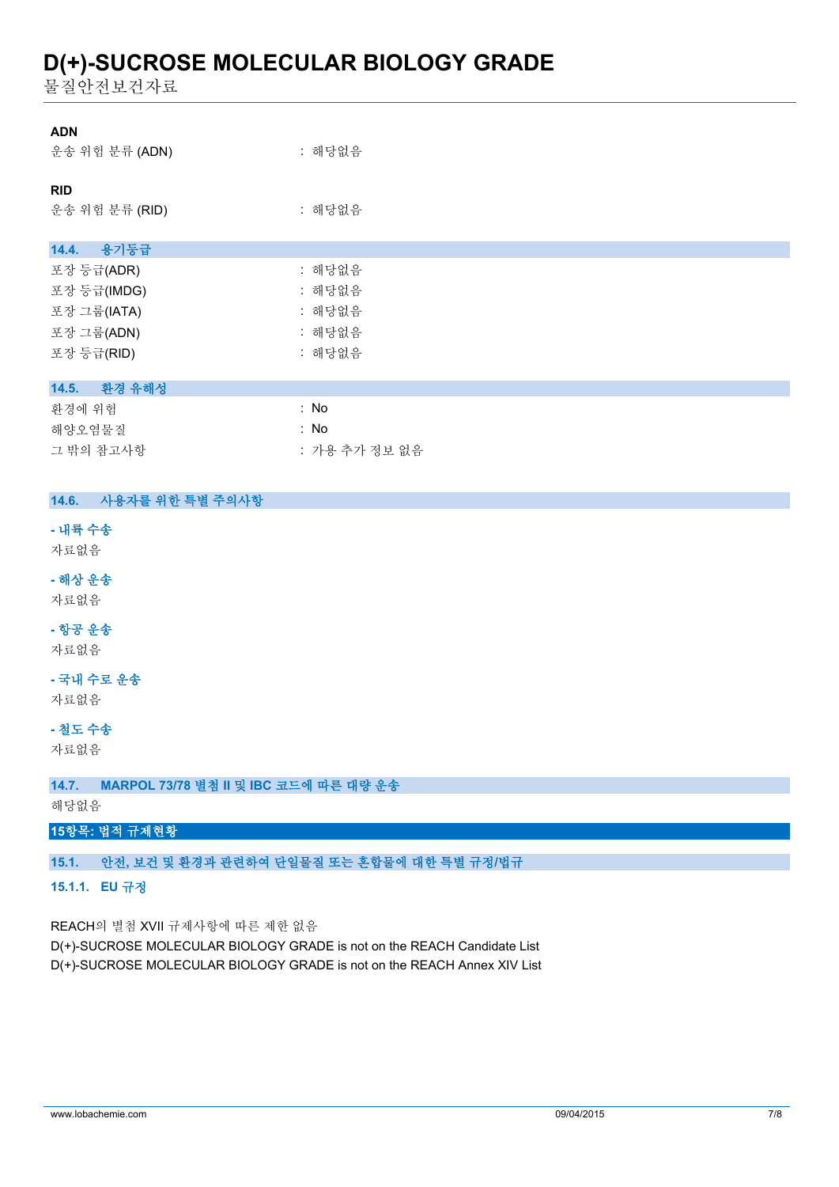물질안전보건자료

| <b>ADN</b><br>운송 위험 분류 (ADN) | : 해당없음 |
|------------------------------|--------|
| <b>RID</b><br>운송 위험 분류 (RID) | : 해당없음 |
| 14.4. 용기등급                   |        |
| 포장 등급(ADR)                   | : 해당없음 |
| 포장 등급(IMDG)                  | : 해당없음 |
| 포장 그룹(IATA)                  | : 해당없음 |
| 포장 그룹(ADN)                   | : 해당없음 |
| 포장 등급(RID)                   | : 해당없음 |
|                              |        |
| 환경 유해성<br>14.5.              |        |
| 환경에 위험                       | : No   |

| 화경에 위험    | : No          |
|-----------|---------------|
| 해양오염물질    | : No          |
| 그 밖의 참고사항 | : 가용 추가 정보 없음 |

### **14.6. 사용자를 위한 특별 주의사항**

**- 내륙 수송**

자료없음

**- 해상 운송**

자료없음

**- 항공 운송**

자료없음

**- 국내 수로 운송**

자료없음

**- 철도 수송**

자료없음

**15항목: 법적 규제현황**

**15.1.1. EU 규정**

REACH의 별첨 XVII 규제사항에 따른 제한 없음

**14.7. MARPOL 73/78 별첨 II 및 IBC 코드에 따른 대량 운송**

**15.1. 안전, 보건 및 환경과 관련하여 단일물질 또는 혼합물에 대한 특별 규정/법규**

D(+)-SUCROSE MOLECULAR BIOLOGY GRADE is not on the REACH Candidate List D(+)-SUCROSE MOLECULAR BIOLOGY GRADE is not on the REACH Annex XIV List

해당없음